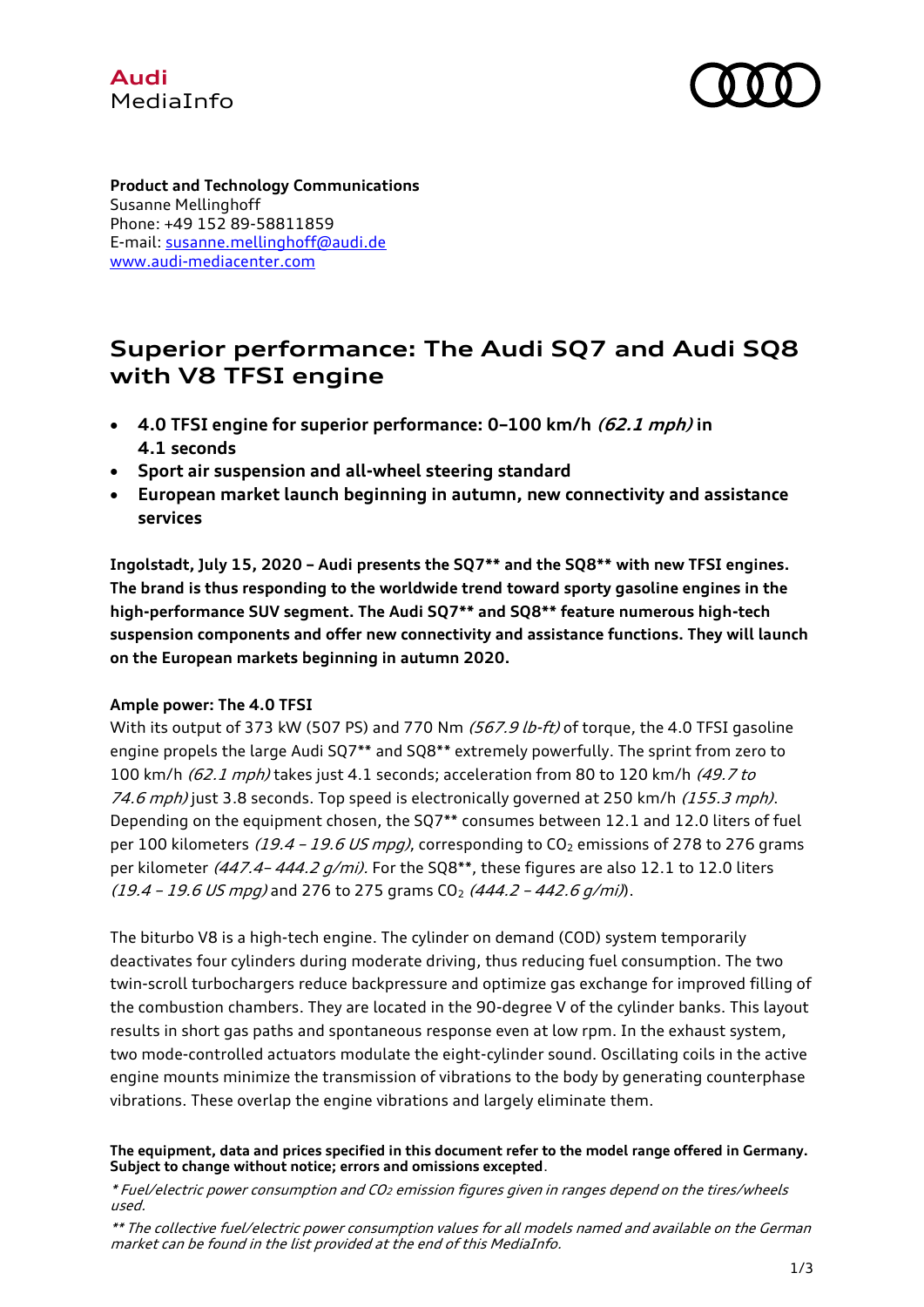



**Product and Technology Communications** Susanne Mellinghoff Phone: +49 152 89-58811859 E-mail: [susanne.mellinghoff@audi.de](mailto:susanne.mellinghoff@audi.de) [www.audi-mediacenter.com](http://www.audi-mediacenter.com/en) 

# **Superior performance: The Audi SQ7 and Audi SQ8 with V8 TFSI engine**

- **4.0 TFSI engine for superior performance: 0–100 km/h (62.1 mph) in 4.1 seconds**
- **Sport air suspension and all-wheel steering standard**
- **European market launch beginning in autumn, new connectivity and assistance services**

**Ingolstadt, July 15, 2020 – Audi presents the SQ7\*\* and the SQ8\*\* with new TFSI engines. The brand is thus responding to the worldwide trend toward sporty gasoline engines in the high-performance SUV segment. The Audi SQ7\*\* and SQ8\*\* feature numerous high-tech suspension components and offer new connectivity and assistance functions. They will launch on the European markets beginning in autumn 2020.**

## **Ample power: The 4.0 TFSI**

With its output of 373 kW (507 PS) and 770 Nm  $(567.9 \text{ lb-ft})$  of torque, the 4.0 TFSI gasoline engine propels the large Audi SQ7\*\* and SQ8\*\* extremely powerfully. The sprint from zero to 100 km/h (62.1 mph) takes just 4.1 seconds; acceleration from 80 to 120 km/h (49.7 to 74.6 mph) just 3.8 seconds. Top speed is electronically governed at 250 km/h (155.3 mph). Depending on the equipment chosen, the SQ7\*\* consumes between 12.1 and 12.0 liters of fuel per 100 kilometers (19.4 – 19.6 US mpg), corresponding to  $CO<sub>2</sub>$  emissions of 278 to 276 grams per kilometer  $(447.4 - 444.2 g/min)$ . For the SQ8\*\*, these figures are also 12.1 to 12.0 liters  $(19.4 - 19.6 \text{ US} \text{ m} \text{ p} \text{ q})$  and 276 to 275 grams  $\text{CO}_2$  (444.2 - 442.6 g/mi)).

The biturbo V8 is a high-tech engine. The cylinder on demand (COD) system temporarily deactivates four cylinders during moderate driving, thus reducing fuel consumption. The two twin-scroll turbochargers reduce backpressure and optimize gas exchange for improved filling of the combustion chambers. They are located in the 90-degree V of the cylinder banks. This layout results in short gas paths and spontaneous response even at low rpm. In the exhaust system, two mode-controlled actuators modulate the eight-cylinder sound. Oscillating coils in the active engine mounts minimize the transmission of vibrations to the body by generating counterphase vibrations. These overlap the engine vibrations and largely eliminate them.

#### **The equipment, data and prices specified in this document refer to the model range offered in Germany. Subject to change without notice; errors and omissions excepted**.

\* Fuel/electric power consumption and CO<sup>2</sup> emission figures given in ranges depend on the tires/wheels used.

<sup>\*\*</sup> The collective fuel/electric power consumption values for all models named and available on the German market can be found in the list provided at the end of this MediaInfo.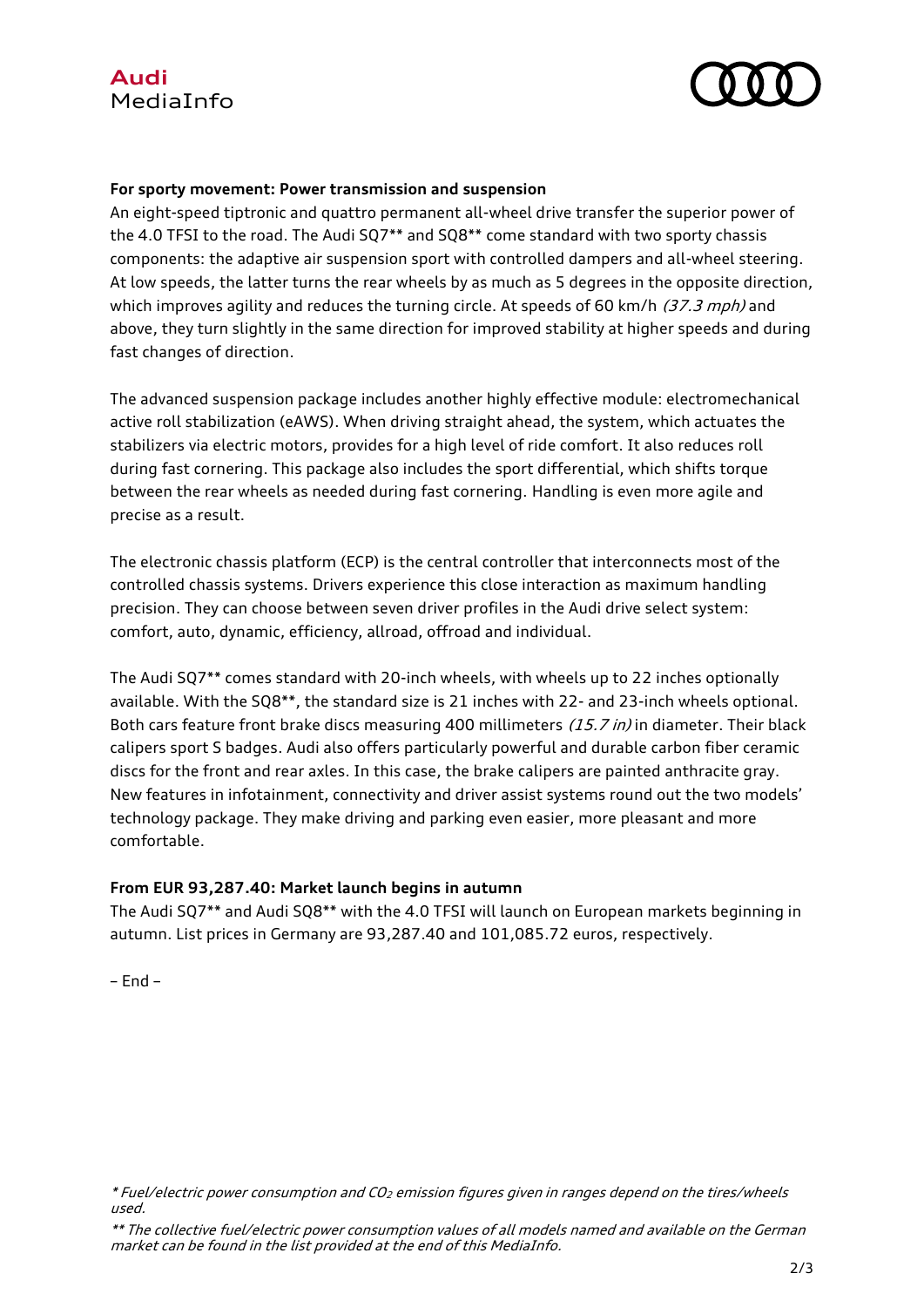



## **For sporty movement: Power transmission and suspension**

An eight-speed tiptronic and quattro permanent all-wheel drive transfer the superior power of the 4.0 TFSI to the road. The Audi SQ7\*\* and SQ8\*\* come standard with two sporty chassis components: the adaptive air suspension sport with controlled dampers and all-wheel steering. At low speeds, the latter turns the rear wheels by as much as 5 degrees in the opposite direction, which improves agility and reduces the turning circle. At speeds of 60 km/h  $(37.3$  mph) and above, they turn slightly in the same direction for improved stability at higher speeds and during fast changes of direction.

The advanced suspension package includes another highly effective module: electromechanical active roll stabilization (eAWS). When driving straight ahead, the system, which actuates the stabilizers via electric motors, provides for a high level of ride comfort. It also reduces roll during fast cornering. This package also includes the sport differential, which shifts torque between the rear wheels as needed during fast cornering. Handling is even more agile and precise as a result.

The electronic chassis platform (ECP) is the central controller that interconnects most of the controlled chassis systems. Drivers experience this close interaction as maximum handling precision. They can choose between seven driver profiles in the Audi drive select system: comfort, auto, dynamic, efficiency, allroad, offroad and individual.

The Audi SQ7\*\* comes standard with 20-inch wheels, with wheels up to 22 inches optionally available. With the SQ8\*\*, the standard size is 21 inches with 22- and 23-inch wheels optional. Both cars feature front brake discs measuring 400 millimeters  $(15.7 \text{ in})$  in diameter. Their black calipers sport S badges. Audi also offers particularly powerful and durable carbon fiber ceramic discs for the front and rear axles. In this case, the brake calipers are painted anthracite gray. New features in infotainment, connectivity and driver assist systems round out the two models' technology package. They make driving and parking even easier, more pleasant and more comfortable.

## **From EUR 93,287.40: Market launch begins in autumn**

The Audi SQ7\*\* and Audi SQ8\*\* with the 4.0 TFSI will launch on European markets beginning in autumn. List prices in Germany are 93,287.40 and 101,085.72 euros, respectively.

– End –

<sup>\*</sup> Fuel/electric power consumption and CO<sup>2</sup> emission figures given in ranges depend on the tires/wheels used.

<sup>\*\*</sup> The collective fuel/electric power consumption values of all models named and available on the German market can be found in the list provided at the end of this MediaInfo.